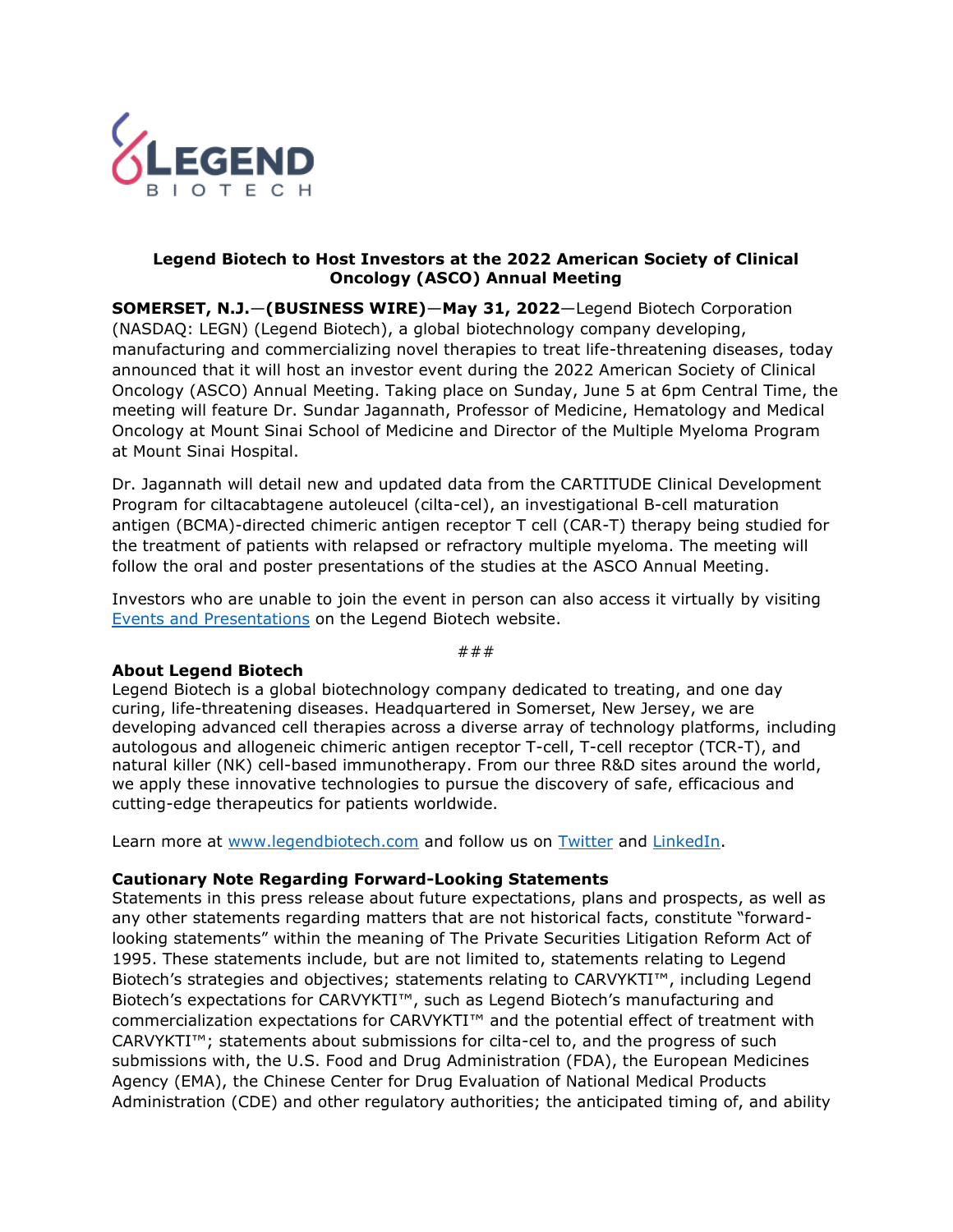

## **Legend Biotech to Host Investors at the 2022 American Society of Clinical Oncology (ASCO) Annual Meeting**

**SOMERSET, N.J.**—**(BUSINESS WIRE)**—**May 31, 2022**—Legend Biotech Corporation (NASDAQ: LEGN) (Legend Biotech), a global biotechnology company developing, manufacturing and commercializing novel therapies to treat life-threatening diseases, today announced that it will host an investor event during the 2022 American Society of Clinical Oncology (ASCO) Annual Meeting. Taking place on Sunday, June 5 at 6pm Central Time, the meeting will feature Dr. Sundar Jagannath, Professor of Medicine, Hematology and Medical Oncology at Mount Sinai School of Medicine and Director of the Multiple Myeloma Program at Mount Sinai Hospital.

Dr. Jagannath will detail new and updated data from the CARTITUDE Clinical Development Program for ciltacabtagene autoleucel (cilta-cel), an investigational B-cell maturation antigen (BCMA)-directed chimeric antigen receptor T cell (CAR-T) therapy being studied for the treatment of patients with relapsed or refractory multiple myeloma. The meeting will follow the oral and poster presentations of the studies at the ASCO Annual Meeting.

Investors who are unable to join the event in person can also access it virtually by visiting [Events and Presentations](https://investors.legendbiotech.com/events-and-presentations) on the Legend Biotech website.

###

## **About Legend Biotech**

Legend Biotech is a global biotechnology company dedicated to treating, and one day curing, life-threatening diseases. Headquartered in Somerset, New Jersey, we are developing advanced cell therapies across a diverse array of technology platforms, including autologous and allogeneic chimeric antigen receptor T-cell, T-cell receptor (TCR-T), and natural killer (NK) cell-based immunotherapy. From our three R&D sites around the world, we apply these innovative technologies to pursue the discovery of safe, efficacious and cutting-edge therapeutics for patients worldwide.

Learn more at [www.legendbiotech.com](https://apc01.safelinks.protection.outlook.com/?url=https%3A%2F%2Furldefense.com%2Fv3%2F__http%3A%2Fwww.legendbiotech.com%2F__%3B!!Dahw-A9d0CA!l_HBzc6uFFeUDuZZa9ZaL36SCN4RrVIMjWybRwXGmPMcCeXFMsUTZlHW7117Bv5v%24&data=04%7C01%7Ctina.carter%40legendbiotech.com%7C16a4efa927f340b07f5408d9730bde94%7Cd55ad7adbf234f2cb95e1164d77114c9%7C0%7C0%7C637667317543128330%7CUnknown%7CTWFpbGZsb3d8eyJWIjoiMC4wLjAwMDAiLCJQIjoiV2luMzIiLCJBTiI6Ik1haWwiLCJXVCI6Mn0%3D%7C2000&sdata=SGEIilDeN6oOC2e6jPKxF9s4UeP%2F7qYMPZCwABxs1GY%3D&reserved=0) and follow us on [Twitter](https://apc01.safelinks.protection.outlook.com/?url=https%3A%2F%2Furldefense.com%2Fv3%2F__https%3A%2Ftwitter.com%2Flegendbiotech%3Flang%3Den__%3B!!Dahw-A9d0CA!l_HBzc6uFFeUDuZZa9ZaL36SCN4RrVIMjWybRwXGmPMcCeXFMsUTZlHW7-CeoCbi%24&data=04%7C01%7Ctina.carter%40legendbiotech.com%7C16a4efa927f340b07f5408d9730bde94%7Cd55ad7adbf234f2cb95e1164d77114c9%7C0%7C0%7C637667317543138324%7CUnknown%7CTWFpbGZsb3d8eyJWIjoiMC4wLjAwMDAiLCJQIjoiV2luMzIiLCJBTiI6Ik1haWwiLCJXVCI6Mn0%3D%7C2000&sdata=G67YvZwhP%2FqpNT70jcxhfJtkRBbttuYxLr1GRRXONFY%3D&reserved=0) and [LinkedIn.](https://apc01.safelinks.protection.outlook.com/?url=https%3A%2F%2Furldefense.com%2Fv3%2F__https%3A%2Fwww.linkedin.com%2Fcompany%2Flegendbiotechco.%2F__%3B!!Dahw-A9d0CA!l_HBzc6uFFeUDuZZa9ZaL36SCN4RrVIMjWybRwXGmPMcCeXFMsUTZlHW7xWi5KQF%24&data=04%7C01%7Ctina.carter%40legendbiotech.com%7C16a4efa927f340b07f5408d9730bde94%7Cd55ad7adbf234f2cb95e1164d77114c9%7C0%7C0%7C637667317543138324%7CUnknown%7CTWFpbGZsb3d8eyJWIjoiMC4wLjAwMDAiLCJQIjoiV2luMzIiLCJBTiI6Ik1haWwiLCJXVCI6Mn0%3D%7C2000&sdata=rAaHW745AINa0fRJ5bSa9ANpUsQtVUxOPkh%2BsfS5lao%3D&reserved=0)

## **Cautionary Note Regarding Forward-Looking Statements**

Statements in this press release about future expectations, plans and prospects, as well as any other statements regarding matters that are not historical facts, constitute "forwardlooking statements" within the meaning of The Private Securities Litigation Reform Act of 1995. These statements include, but are not limited to, statements relating to Legend Biotech's strategies and objectives; statements relating to CARVYKTI™, including Legend Biotech's expectations for CARVYKTI™, such as Legend Biotech's manufacturing and commercialization expectations for CARVYKTI™ and the potential effect of treatment with CARVYKTI™; statements about submissions for cilta-cel to, and the progress of such submissions with, the U.S. Food and Drug Administration (FDA), the European Medicines Agency (EMA), the Chinese Center for Drug Evaluation of National Medical Products Administration (CDE) and other regulatory authorities; the anticipated timing of, and ability